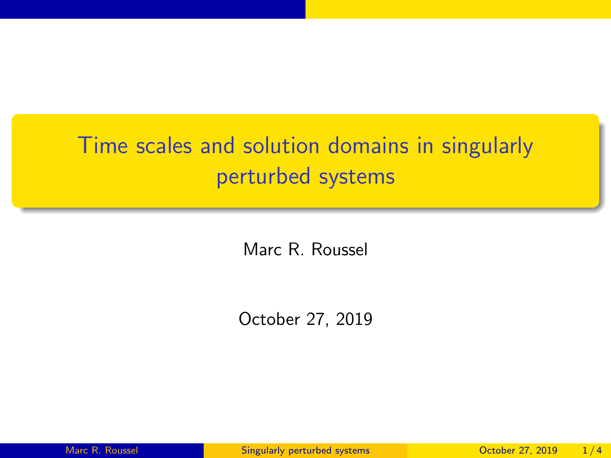## <span id="page-0-0"></span>Time scales and solution domains in singularly perturbed systems

Marc R. Roussel

October 27, 2019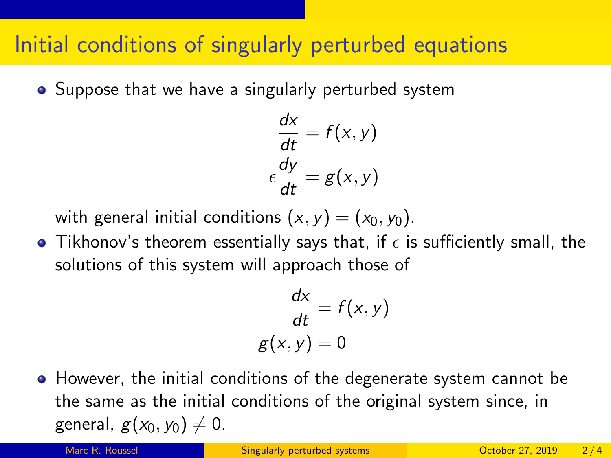## Initial conditions of singularly perturbed equations

• Suppose that we have a singularly perturbed system

$$
\frac{dx}{dt} = f(x, y)
$$

$$
\epsilon \frac{dy}{dt} = g(x, y)
$$

with general initial conditions  $(x, y) = (x_0, y_0)$ .

• Tikhonov's theorem essentially says that, if  $\epsilon$  is sufficiently small, the solutions of this system will approach those of

$$
\frac{dx}{dt} = f(x, y)
$$

$$
g(x, y) = 0
$$

However, the initial conditions of the degenerate system cannot be the same as the initial conditions of the original system since, in general,  $g(x_0, y_0) \neq 0$ .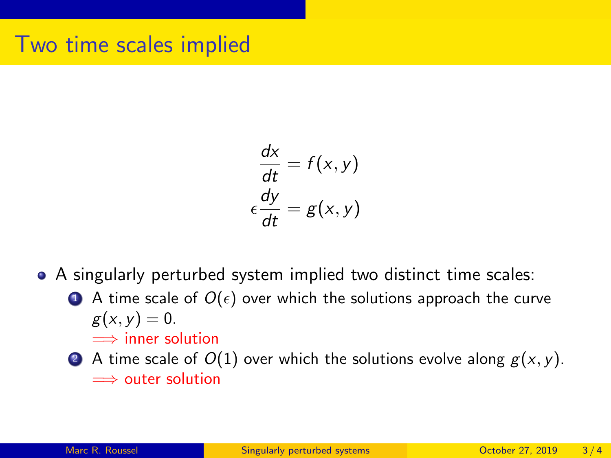$$
\frac{dx}{dt} = f(x, y)
$$

$$
\epsilon \frac{dy}{dt} = g(x, y)
$$

- A singularly perturbed system implied two distinct time scales:
	- $\bullet$  A time scale of  $O(\epsilon)$  over which the solutions approach the curve  $g(x, y) = 0.$ 
		- $\implies$  inner solution
	- A time scale of  $O(1)$  over which the solutions evolve along  $g(x, y)$ . =⇒ outer solution